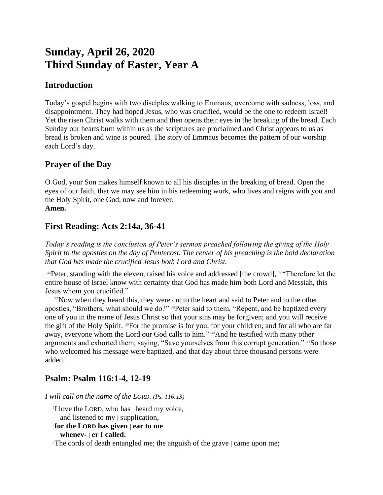# **Sunday, April 26, 2020 Third Sunday of Easter, Year A**

# **Introduction**

Today's gospel begins with two disciples walking to Emmaus, overcome with sadness, loss, and disappointment. They had hoped Jesus, who was crucified, would be the one to redeem Israel! Yet the risen Christ walks with them and then opens their eyes in the breaking of the bread. Each Sunday our hearts burn within us as the scriptures are proclaimed and Christ appears to us as bread is broken and wine is poured. The story of Emmaus becomes the pattern of our worship each Lord's day.

## **Prayer of the Day**

O God, your Son makes himself known to all his disciples in the breaking of bread. Open the eyes of our faith, that we may see him in his redeeming work, who lives and reigns with you and the Holy Spirit, one God, now and forever. **Amen.**

# **First Reading: Acts 2:14a, 36-41**

*Today's reading is the conclusion of Peter's sermon preached following the giving of the Holy Spirit to the apostles on the day of Pentecost. The center of his preaching is the bold declaration that God has made the crucified Jesus both Lord and Christ.*

<sup>14a</sup>Peter, standing with the eleven, raised his voice and addressed [the crowd], <sup>36"</sup>Therefore let the entire house of Israel know with certainty that God has made him both Lord and Messiah, this Jesus whom you crucified."

<sup>37</sup>Now when they heard this, they were cut to the heart and said to Peter and to the other apostles, "Brothers, what should we do?" 38Peter said to them, "Repent, and be baptized every one of you in the name of Jesus Christ so that your sins may be forgiven; and you will receive the gift of the Holy Spirit. 39For the promise is for you, for your children, and for all who are far away, everyone whom the Lord our God calls to him." 40And he testified with many other arguments and exhorted them, saying, "Save yourselves from this corrupt generation." 41So those who welcomed his message were baptized, and that day about three thousand persons were added.

# **Psalm: Psalm 116:1-4, 12-19**

*I will call on the name of the LORD. (Ps. 116:13)*

<sup>1</sup>I love the LORD, who has | heard my voice, and listened to my | supplication, 2 **for the LORD has given | ear to me whenev- | er I called.**

<sup>3</sup>The cords of death entangled me; the anguish of the grave | came upon me;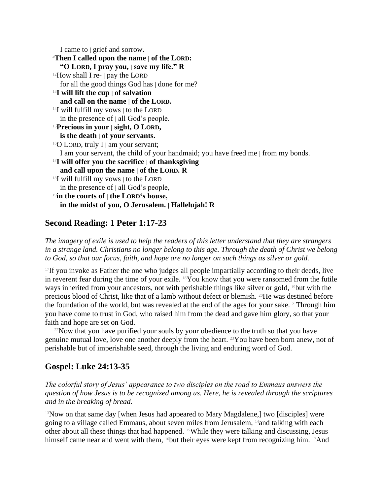I came to | grief and sorrow. <sup>4</sup>**Then I called upon the name | of the LORD: "O LORD, I pray you, | save my life." R**  $12$ How shall I re-  $|$  pay the LORD for all the good things God has | done for me? <sup>13</sup>**I will lift the cup | of salvation and call on the name | of the LORD.** <sup>14</sup>I will fulfill my vows | to the LORD in the presence of  $|$  all God's people. <sup>15</sup>**Precious in your | sight, O LORD, is the death | of your servants.**  $16$ O LORD, truly I | am your servant; I am your servant, the child of your handmaid; you have freed me | from my bonds. <sup>17</sup>**I will offer you the sacrifice | of thanksgiving and call upon the name | of the LORD. R** <sup>18</sup>I will fulfill my vows | to the LORD in the presence of  $|$  all God's people, <sup>19</sup>**in the courts of | the LORD's house, in the midst of you, O Jerusalem. | Hallelujah! R**

## **Second Reading: 1 Peter 1:17-23**

*The imagery of exile is used to help the readers of this letter understand that they are strangers in a strange land. Christians no longer belong to this age. Through the death of Christ we belong to God, so that our focus, faith, and hope are no longer on such things as silver or gold.*

 $17$ If you invoke as Father the one who judges all people impartially according to their deeds, live in reverent fear during the time of your exile. 18You know that you were ransomed from the futile ways inherited from your ancestors, not with perishable things like silver or gold, <sup>19</sup>but with the precious blood of Christ, like that of a lamb without defect or blemish. 20He was destined before the foundation of the world, but was revealed at the end of the ages for your sake. 21Through him you have come to trust in God, who raised him from the dead and gave him glory, so that your faith and hope are set on God.

 $22$ Now that you have purified your souls by your obedience to the truth so that you have genuine mutual love, love one another deeply from the heart. 23You have been born anew, not of perishable but of imperishable seed, through the living and enduring word of God.

## **Gospel: Luke 24:13-35**

*The colorful story of Jesus' appearance to two disciples on the road to Emmaus answers the question of how Jesus is to be recognized among us. Here, he is revealed through the scriptures and in the breaking of bread.*

<sup>13</sup>Now on that same day [when Jesus had appeared to Mary Magdalene,] two [disciples] were going to a village called Emmaus, about seven miles from Jerusalem, 14and talking with each other about all these things that had happened. 15While they were talking and discussing, Jesus himself came near and went with them, <sup>16</sup>but their eyes were kept from recognizing him. <sup>17</sup>And